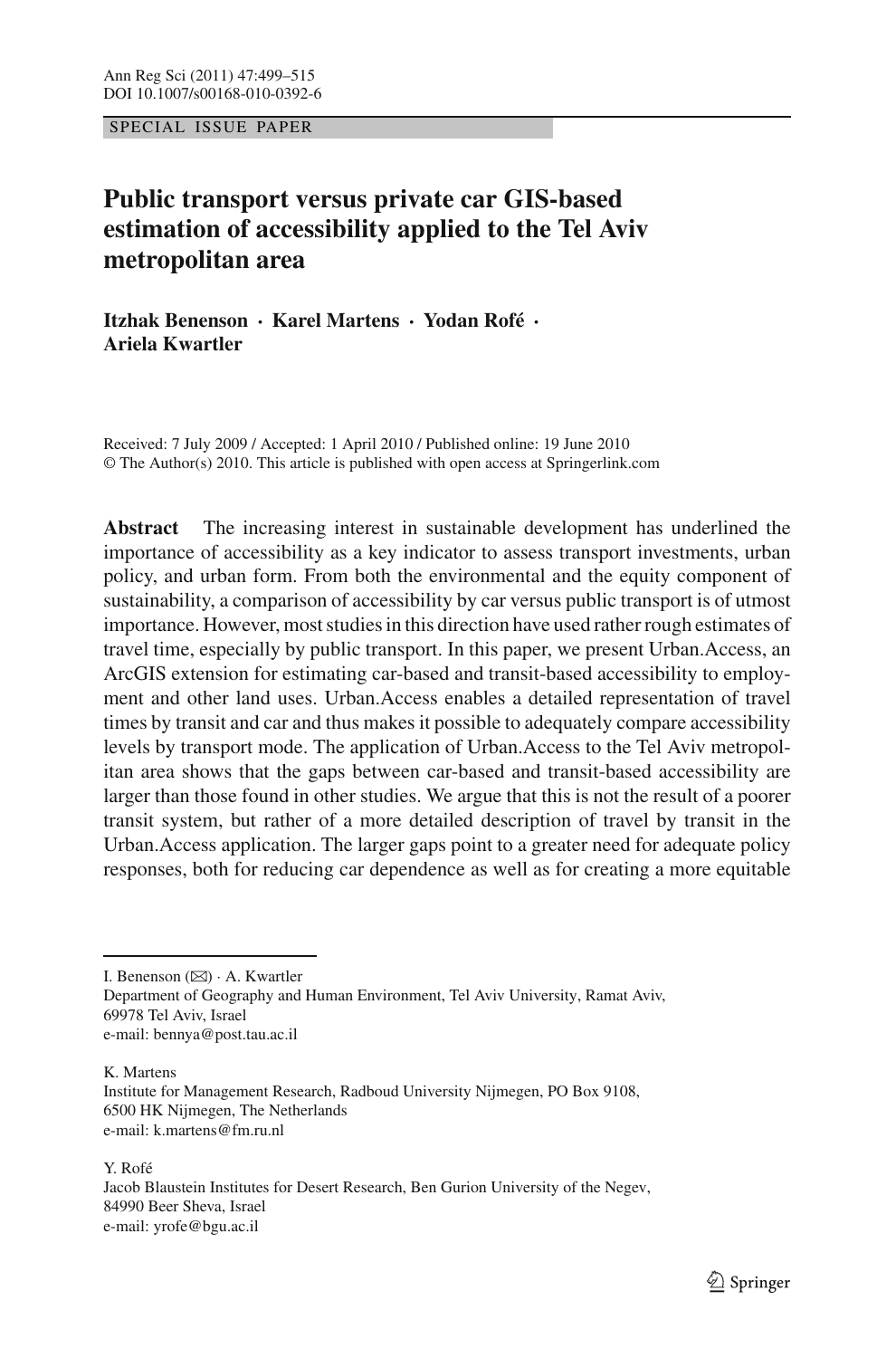SPECIAL ISSUE PAPER

# **Public transport versus private car GIS-based estimation of accessibility applied to the Tel Aviv metropolitan area**

**Itzhak Benenson · Karel Martens · Yodan Rofé · Ariela Kwartler**

Received: 7 July 2009 / Accepted: 1 April 2010 / Published online: 19 June 2010 © The Author(s) 2010. This article is published with open access at Springerlink.com

**Abstract** The increasing interest in sustainable development has underlined the importance of accessibility as a key indicator to assess transport investments, urban policy, and urban form. From both the environmental and the equity component of sustainability, a comparison of accessibility by car versus public transport is of utmost importance. However, most studies in this direction have used rather rough estimates of travel time, especially by public transport. In this paper, we present Urban.Access, an ArcGIS extension for estimating car-based and transit-based accessibility to employment and other land uses. Urban.Access enables a detailed representation of travel times by transit and car and thus makes it possible to adequately compare accessibility levels by transport mode. The application of Urban.Access to the Tel Aviv metropolitan area shows that the gaps between car-based and transit-based accessibility are larger than those found in other studies. We argue that this is not the result of a poorer transit system, but rather of a more detailed description of travel by transit in the Urban.Access application. The larger gaps point to a greater need for adequate policy responses, both for reducing car dependence as well as for creating a more equitable

I. Benenson  $(\boxtimes)$  · A. Kwartler Department of Geography and Human Environment, Tel Aviv University, Ramat Aviv, 69978 Tel Aviv, Israel e-mail: bennya@post.tau.ac.il

K. Martens

Y. Rofé Jacob Blaustein Institutes for Desert Research, Ben Gurion University of the Negev, 84990 Beer Sheva, Israel e-mail: yrofe@bgu.ac.il

Institute for Management Research, Radboud University Nijmegen, PO Box 9108, 6500 HK Nijmegen, The Netherlands e-mail: k.martens@fm.ru.nl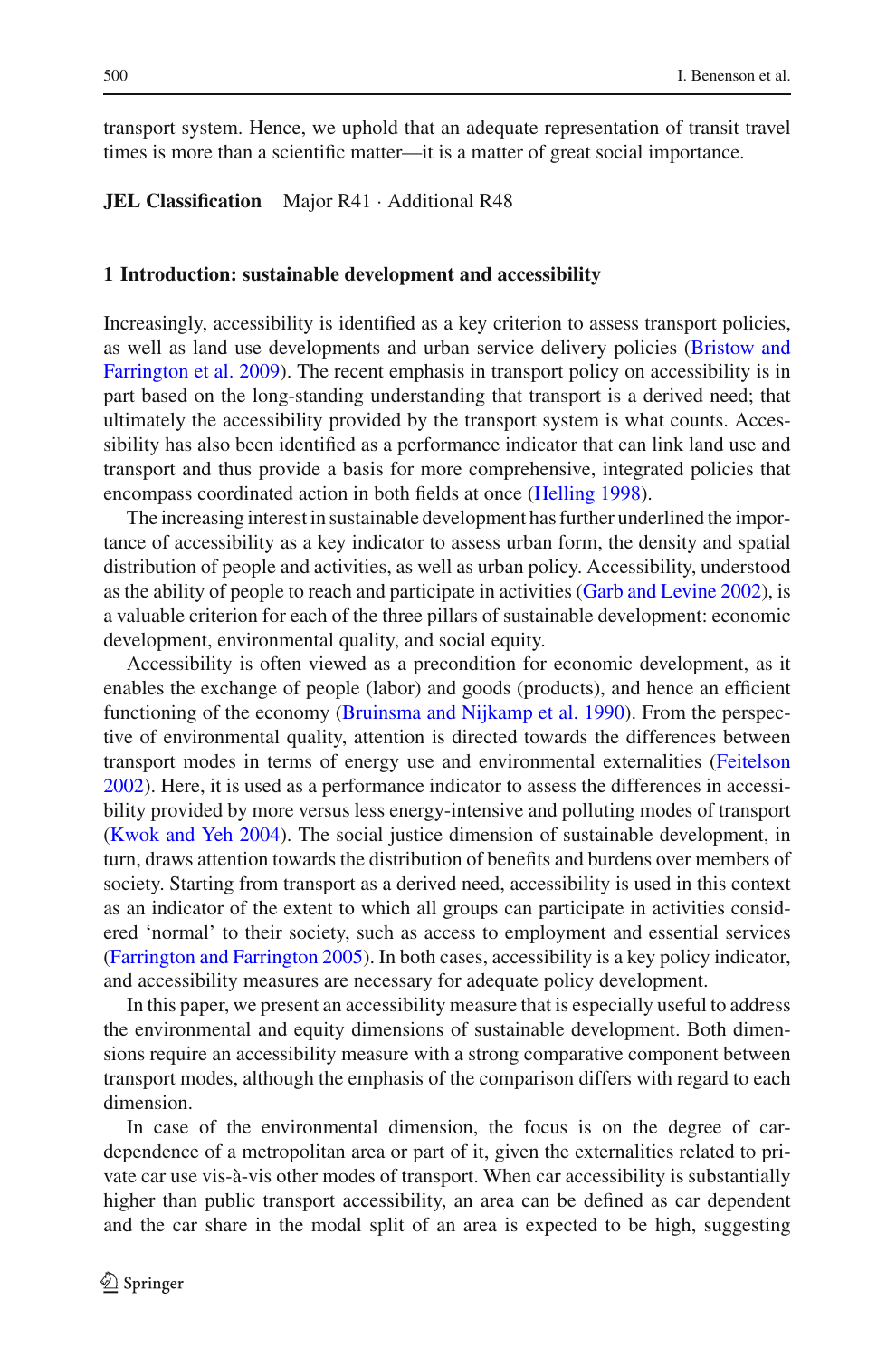transport system. Hence, we uphold that an adequate representation of transit travel times is more than a scientific matter—it is a matter of great social importance.

**JEL Classification** Major R41 · Additional R48

#### <span id="page-1-0"></span>**1 Introduction: sustainable development and accessibility**

Increasingly, accessibility is identified as a key criterion to assess transport policies, as well as land [use](#page-15-0) [developments](#page-15-0) [and](#page-15-0) [urban](#page-15-0) [service](#page-15-0) [delivery](#page-15-0) [policies](#page-15-0) [\(](#page-15-0)Bristow and Farrington et al. [2009](#page-15-0)). The recent emphasis in transport policy on accessibility is in part based on the long-standing understanding that transport is a derived need; that ultimately the accessibility provided by the transport system is what counts. Accessibility has also been identified as a performance indicator that can link land use and transport and thus provide a basis for more comprehensive, integrated policies that encompass coordinated action in both fields at once [\(Helling 1998](#page-16-0)).

The increasing interest in sustainable development has further underlined the importance of accessibility as a key indicator to assess urban form, the density and spatial distribution of people and activities, as well as urban policy. Accessibility, understood as the ability of people to reach and participate in activities [\(Garb and Levine 2002\)](#page-16-1), is a valuable criterion for each of the three pillars of sustainable development: economic development, environmental quality, and social equity.

Accessibility is often viewed as a precondition for economic development, as it enables the exchange of people (labor) and goods (products), and hence an efficient functioning of the economy [\(Bruinsma and Nijkamp et al. 1990](#page-16-2)). From the perspective of environmental quality, attention is directed towards the differences between transport modes in terms of energy use and environmental externalities [\(Feitelson](#page-16-3) [2002\)](#page-16-3). Here, it is used as a performance indicator to assess the differences in accessibility provided by more versus less energy-intensive and polluting modes of transport [\(Kwok and Yeh 2004](#page-16-4)). The social justice dimension of sustainable development, in turn, draws attention towards the distribution of benefits and burdens over members of society. Starting from transport as a derived need, accessibility is used in this context as an indicator of the extent to which all groups can participate in activities considered 'normal' to their society, such as access to employment and essential services [\(Farrington and Farrington 2005](#page-16-5)). In both cases, accessibility is a key policy indicator, and accessibility measures are necessary for adequate policy development.

In this paper, we present an accessibility measure that is especially useful to address the environmental and equity dimensions of sustainable development. Both dimensions require an accessibility measure with a strong comparative component between transport modes, although the emphasis of the comparison differs with regard to each dimension.

In case of the environmental dimension, the focus is on the degree of cardependence of a metropolitan area or part of it, given the externalities related to private car use vis-à-vis other modes of transport. When car accessibility is substantially higher than public transport accessibility, an area can be defined as car dependent and the car share in the modal split of an area is expected to be high, suggesting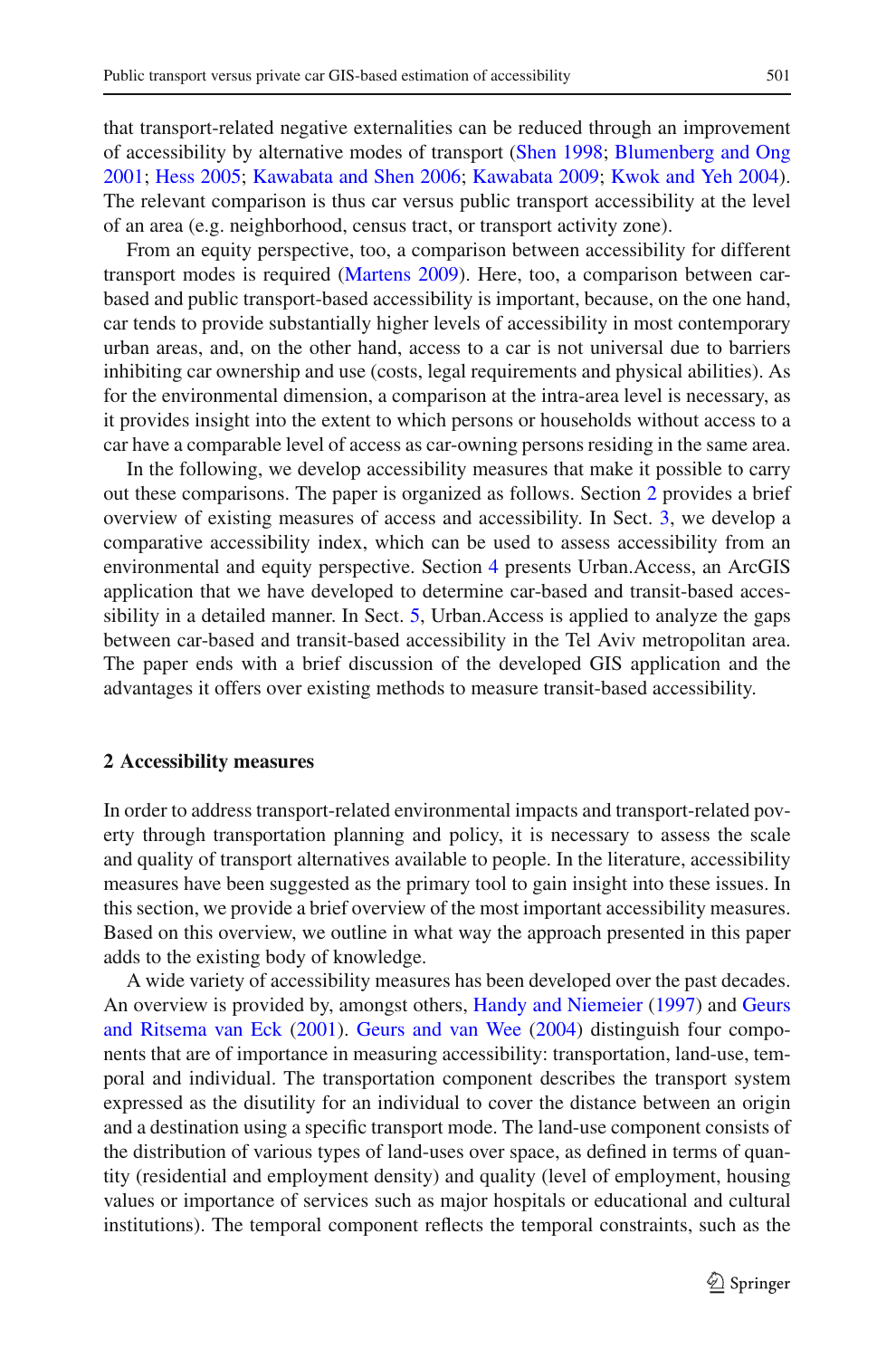that transport-related negative externalities can be reduced through an improvement of accessibility by alternative modes of transport [\(Shen 1998;](#page-16-6) [Blumenberg and Ong](#page-15-1) [2001;](#page-15-1) [Hess 2005](#page-16-7); [Kawabata and Shen 2006](#page-16-8); [Kawabata 2009](#page-16-9); [Kwok and Yeh 2004](#page-16-4)). The relevant comparison is thus car versus public transport accessibility at the level of an area (e.g. neighborhood, census tract, or transport activity zone).

From an equity perspective, too, a comparison between accessibility for different transport modes is required [\(Martens 2009](#page-16-10)). Here, too, a comparison between carbased and public transport-based accessibility is important, because, on the one hand, car tends to provide substantially higher levels of accessibility in most contemporary urban areas, and, on the other hand, access to a car is not universal due to barriers inhibiting car ownership and use (costs, legal requirements and physical abilities). As for the environmental dimension, a comparison at the intra-area level is necessary, as it provides insight into the extent to which persons or households without access to a car have a comparable level of access as car-owning persons residing in the same area.

In the following, we develop accessibility measures that make it possible to carry out these comparisons. The paper is organized as follows. Section [2](#page-2-0) provides a brief overview of existing measures of access and accessibility. In Sect. [3,](#page-5-0) we develop a comparative accessibility index, which can be used to assess accessibility from an environmental and equity perspective. Section [4](#page-8-0) presents Urban.Access, an ArcGIS application that we have developed to determine car-based and transit-based accessibility in a detailed manner. In Sect. [5,](#page-10-0) Urban.Access is applied to analyze the gaps between car-based and transit-based accessibility in the Tel Aviv metropolitan area. The paper ends with a brief discussion of the developed GIS application and the advantages it offers over existing methods to measure transit-based accessibility.

### <span id="page-2-0"></span>**2 Accessibility measures**

In order to address transport-related environmental impacts and transport-related poverty through transportation planning and policy, it is necessary to assess the scale and quality of transport alternatives available to people. In the literature, accessibility measures have been suggested as the primary tool to gain insight into these issues. In this section, we provide a brief overview of the most important accessibility measures. Based on this overview, we outline in what way the approach presented in this paper adds to the existing body of knowledge.

A wide variety of accessibility measures has been developed over the past decades. An overview is provi[ded](#page-16-12) [by,](#page-16-12) [amongst](#page-16-12) [others,](#page-16-12) [Handy and Niemeier](#page-16-11) [\(1997](#page-16-11)) and Geurs and Ritsema van Eck [\(2001](#page-16-12)). [Geurs and van Wee](#page-16-13) [\(2004\)](#page-16-13) distinguish four components that are of importance in measuring accessibility: transportation, land-use, temporal and individual. The transportation component describes the transport system expressed as the disutility for an individual to cover the distance between an origin and a destination using a specific transport mode. The land-use component consists of the distribution of various types of land-uses over space, as defined in terms of quantity (residential and employment density) and quality (level of employment, housing values or importance of services such as major hospitals or educational and cultural institutions). The temporal component reflects the temporal constraints, such as the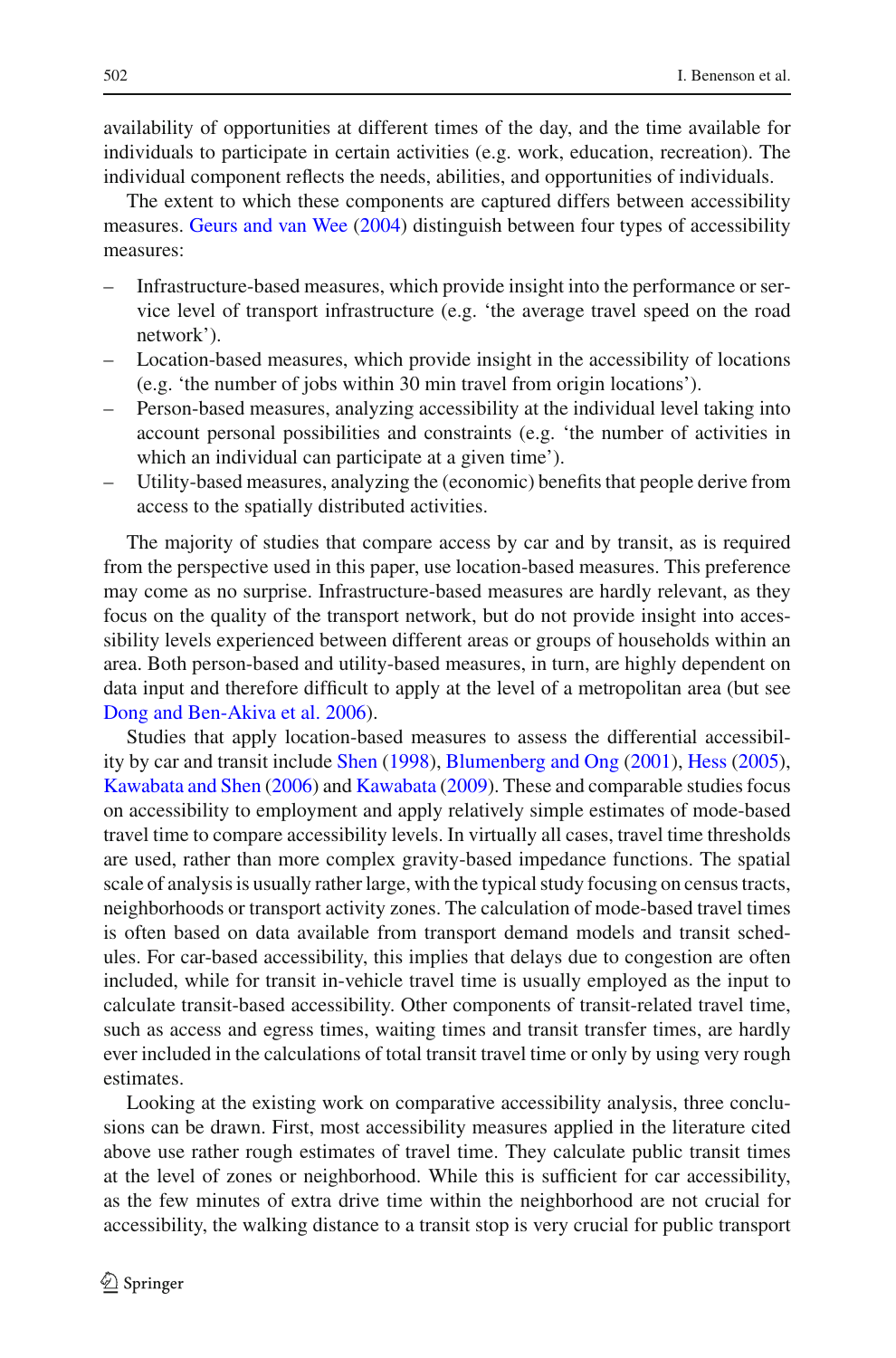availability of opportunities at different times of the day, and the time available for individuals to participate in certain activities (e.g. work, education, recreation). The individual component reflects the needs, abilities, and opportunities of individuals.

The extent to which these components are captured differs between accessibility measures. [Geurs and van Wee](#page-16-13) [\(2004\)](#page-16-13) distinguish between four types of accessibility measures:

- Infrastructure-based measures, which provide insight into the performance or service level of transport infrastructure (e.g. 'the average travel speed on the road network').
- Location-based measures, which provide insight in the accessibility of locations (e.g. 'the number of jobs within 30 min travel from origin locations').
- Person-based measures, analyzing accessibility at the individual level taking into account personal possibilities and constraints (e.g. 'the number of activities in which an individual can participate at a given time').
- Utility-based measures, analyzing the (economic) benefits that people derive from access to the spatially distributed activities.

The majority of studies that compare access by car and by transit, as is required from the perspective used in this paper, use location-based measures. This preference may come as no surprise. Infrastructure-based measures are hardly relevant, as they focus on the quality of the transport network, but do not provide insight into accessibility levels experienced between different areas or groups of households within an area. Both person-based and utility-based measures, in turn, are highly dependent on data input and therefore difficult to apply at the level of a metropolitan area (but see [Dong and Ben-Akiva et al. 2006\)](#page-16-14).

Studies that apply location-based measures to assess the differential accessibility by car and transit include [Shen](#page-16-6) [\(1998\)](#page-16-6), [Blumenberg and Ong](#page-15-1) [\(2001](#page-15-1)), [Hess](#page-16-7) [\(2005](#page-16-7)), [Kawabata and Shen](#page-16-8) [\(2006](#page-16-8)) and [Kawabata](#page-16-9) [\(2009](#page-16-9)). These and comparable studies focus on accessibility to employment and apply relatively simple estimates of mode-based travel time to compare accessibility levels. In virtually all cases, travel time thresholds are used, rather than more complex gravity-based impedance functions. The spatial scale of analysis is usually rather large, with the typical study focusing on census tracts, neighborhoods or transport activity zones. The calculation of mode-based travel times is often based on data available from transport demand models and transit schedules. For car-based accessibility, this implies that delays due to congestion are often included, while for transit in-vehicle travel time is usually employed as the input to calculate transit-based accessibility. Other components of transit-related travel time, such as access and egress times, waiting times and transit transfer times, are hardly ever included in the calculations of total transit travel time or only by using very rough estimates.

Looking at the existing work on comparative accessibility analysis, three conclusions can be drawn. First, most accessibility measures applied in the literature cited above use rather rough estimates of travel time. They calculate public transit times at the level of zones or neighborhood. While this is sufficient for car accessibility, as the few minutes of extra drive time within the neighborhood are not crucial for accessibility, the walking distance to a transit stop is very crucial for public transport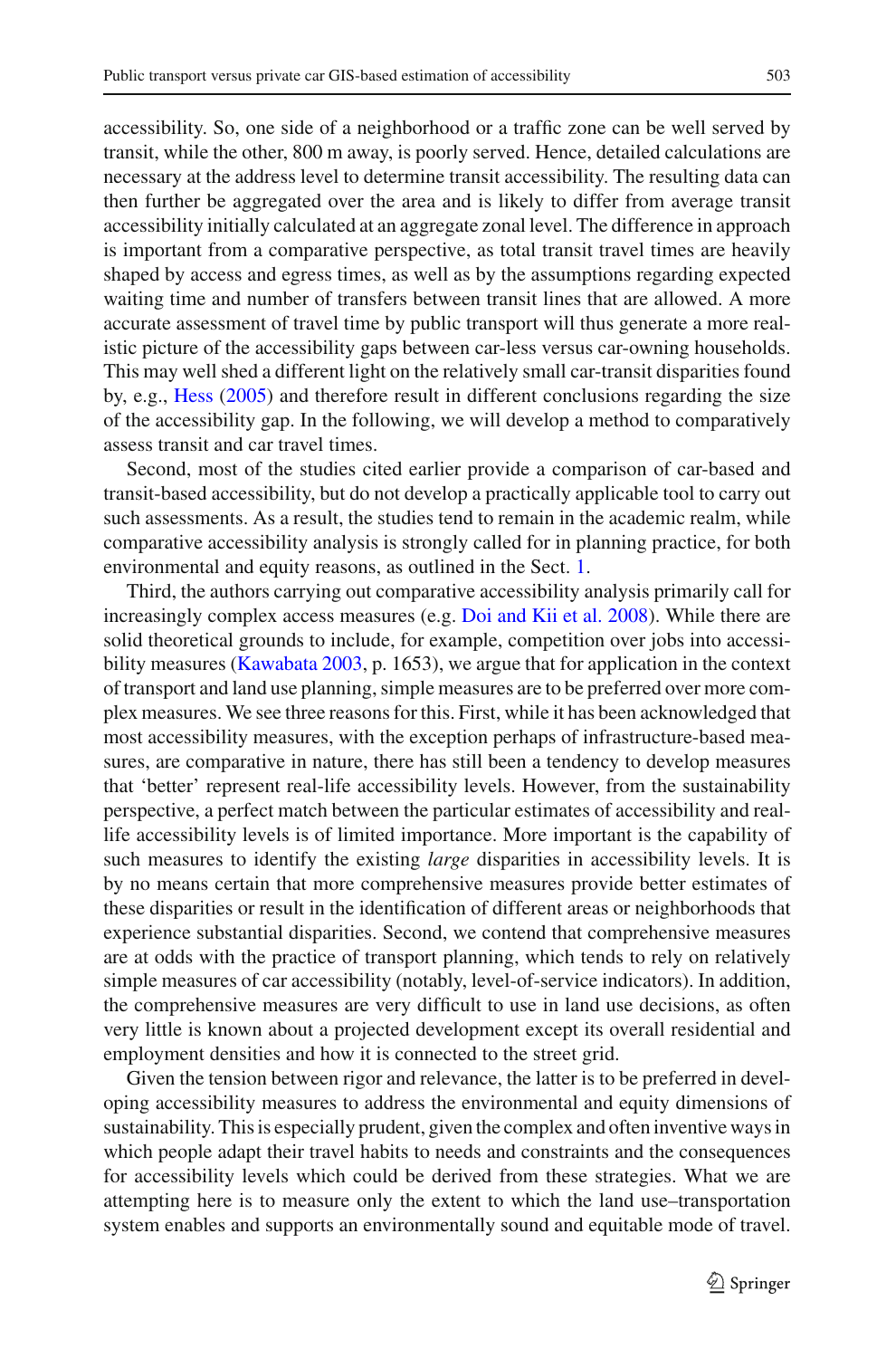accessibility. So, one side of a neighborhood or a traffic zone can be well served by transit, while the other, 800 m away, is poorly served. Hence, detailed calculations are necessary at the address level to determine transit accessibility. The resulting data can then further be aggregated over the area and is likely to differ from average transit accessibility initially calculated at an aggregate zonal level. The difference in approach is important from a comparative perspective, as total transit travel times are heavily shaped by access and egress times, as well as by the assumptions regarding expected waiting time and number of transfers between transit lines that are allowed. A more accurate assessment of travel time by public transport will thus generate a more realistic picture of the accessibility gaps between car-less versus car-owning households. This may well shed a different light on the relatively small car-transit disparities found by, e.g., [Hess](#page-16-7) [\(2005\)](#page-16-7) and therefore result in different conclusions regarding the size of the accessibility gap. In the following, we will develop a method to comparatively assess transit and car travel times.

Second, most of the studies cited earlier provide a comparison of car-based and transit-based accessibility, but do not develop a practically applicable tool to carry out such assessments. As a result, the studies tend to remain in the academic realm, while comparative accessibility analysis is strongly called for in planning practice, for both environmental and equity reasons, as outlined in the Sect. [1.](#page-1-0)

Third, the authors carrying out comparative accessibility analysis primarily call for increasingly complex access measures (e.g. [Doi and Kii et al. 2008](#page-16-15)). While there are solid theoretical grounds to include, for example, competition over jobs into accessi-bility measures [\(Kawabata 2003,](#page-16-16) p. 1653), we argue that for application in the context of transport and land use planning, simple measures are to be preferred over more complex measures. We see three reasons for this. First, while it has been acknowledged that most accessibility measures, with the exception perhaps of infrastructure-based measures, are comparative in nature, there has still been a tendency to develop measures that 'better' represent real-life accessibility levels. However, from the sustainability perspective, a perfect match between the particular estimates of accessibility and reallife accessibility levels is of limited importance. More important is the capability of such measures to identify the existing *large* disparities in accessibility levels. It is by no means certain that more comprehensive measures provide better estimates of these disparities or result in the identification of different areas or neighborhoods that experience substantial disparities. Second, we contend that comprehensive measures are at odds with the practice of transport planning, which tends to rely on relatively simple measures of car accessibility (notably, level-of-service indicators). In addition, the comprehensive measures are very difficult to use in land use decisions, as often very little is known about a projected development except its overall residential and employment densities and how it is connected to the street grid.

Given the tension between rigor and relevance, the latter is to be preferred in developing accessibility measures to address the environmental and equity dimensions of sustainability. This is especially prudent, given the complex and often inventive ways in which people adapt their travel habits to needs and constraints and the consequences for accessibility levels which could be derived from these strategies. What we are attempting here is to measure only the extent to which the land use–transportation system enables and supports an environmentally sound and equitable mode of travel.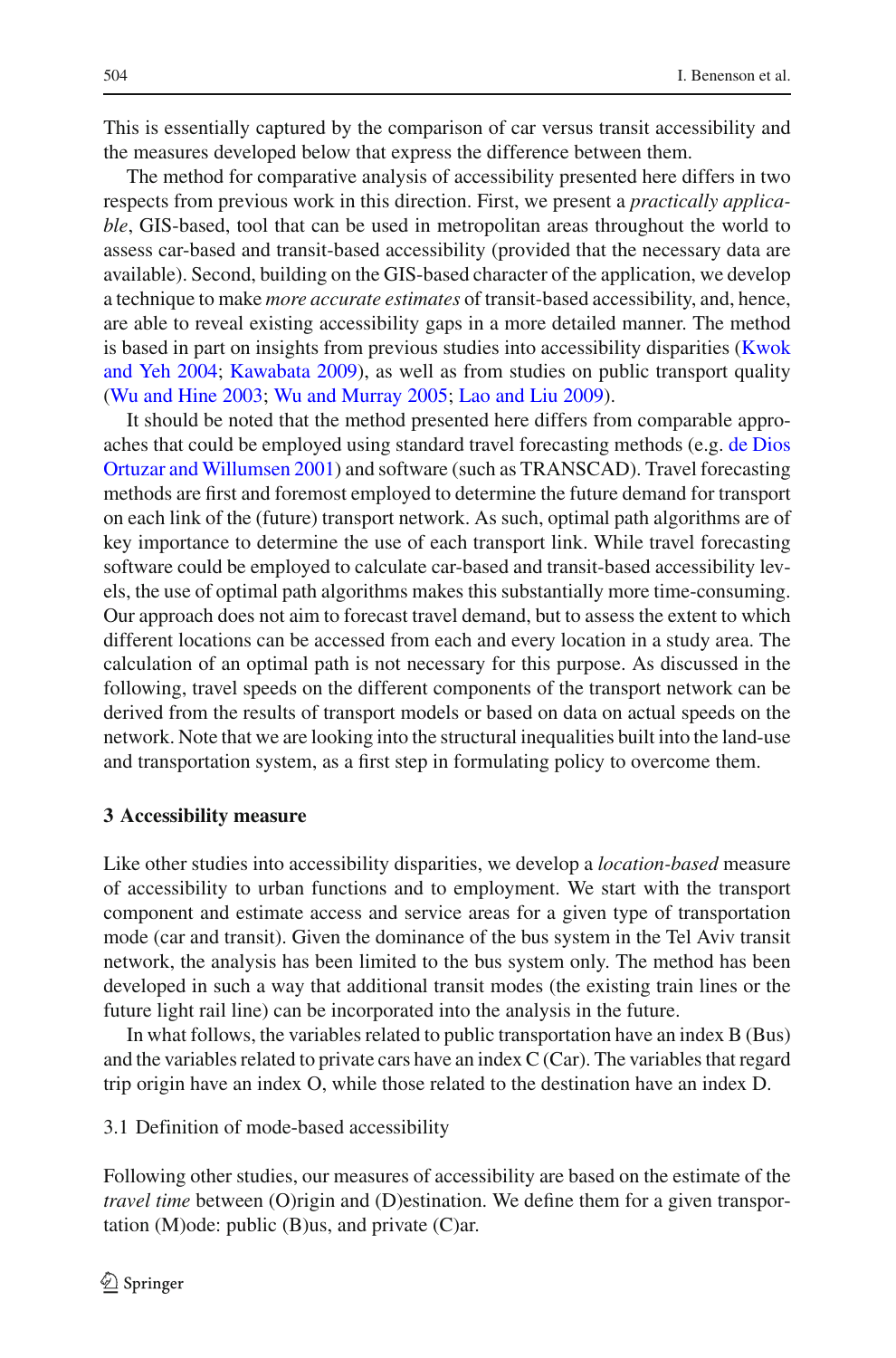This is essentially captured by the comparison of car versus transit accessibility and the measures developed below that express the difference between them.

The method for comparative analysis of accessibility presented here differs in two respects from previous work in this direction. First, we present a *practically applicable*, GIS-based, tool that can be used in metropolitan areas throughout the world to assess car-based and transit-based accessibility (provided that the necessary data are available). Second, building on the GIS-based character of the application, we develop a technique to make *more accurate estimates* of transit-based accessibility, and, hence, are able to reveal existing accessibility gaps in a more detailed manner. The method is based [in](#page-16-4) [part](#page-16-4) [on](#page-16-4) [insights](#page-16-4) [from](#page-16-4) [previous](#page-16-4) [studies](#page-16-4) [into](#page-16-4) [accessibility](#page-16-4) [disparities](#page-16-4) [\(](#page-16-4)Kwok and Yeh [2004;](#page-16-4) [Kawabata 2009](#page-16-9)), as well as from studies on public transport quality [\(Wu and Hine 2003](#page-16-17); [Wu and Murray 2005;](#page-16-18) [Lao and Liu 2009](#page-16-19)).

It should be noted that the method presented here differs from comparable approaches that could be em[ployed](#page-16-20) [using](#page-16-20) [standard](#page-16-20) [travel](#page-16-20) [forecasting](#page-16-20) [methods](#page-16-20) [\(e.g.](#page-16-20) de Dios Ortuzar and Willumsen [2001](#page-16-20)) and software (such as TRANSCAD). Travel forecasting methods are first and foremost employed to determine the future demand for transport on each link of the (future) transport network. As such, optimal path algorithms are of key importance to determine the use of each transport link. While travel forecasting software could be employed to calculate car-based and transit-based accessibility levels, the use of optimal path algorithms makes this substantially more time-consuming. Our approach does not aim to forecast travel demand, but to assess the extent to which different locations can be accessed from each and every location in a study area. The calculation of an optimal path is not necessary for this purpose. As discussed in the following, travel speeds on the different components of the transport network can be derived from the results of transport models or based on data on actual speeds on the network. Note that we are looking into the structural inequalities built into the land-use and transportation system, as a first step in formulating policy to overcome them.

## <span id="page-5-0"></span>**3 Accessibility measure**

Like other studies into accessibility disparities, we develop a *location-based* measure of accessibility to urban functions and to employment. We start with the transport component and estimate access and service areas for a given type of transportation mode (car and transit). Given the dominance of the bus system in the Tel Aviv transit network, the analysis has been limited to the bus system only. The method has been developed in such a way that additional transit modes (the existing train lines or the future light rail line) can be incorporated into the analysis in the future.

In what follows, the variables related to public transportation have an index B (Bus) and the variables related to private cars have an index C (Car). The variables that regard trip origin have an index O, while those related to the destination have an index D.

3.1 Definition of mode-based accessibility

Following other studies, our measures of accessibility are based on the estimate of the *travel time* between (O)rigin and (D)estination. We define them for a given transportation (M) ode: public  $(B)$ us, and private  $(C)$ ar.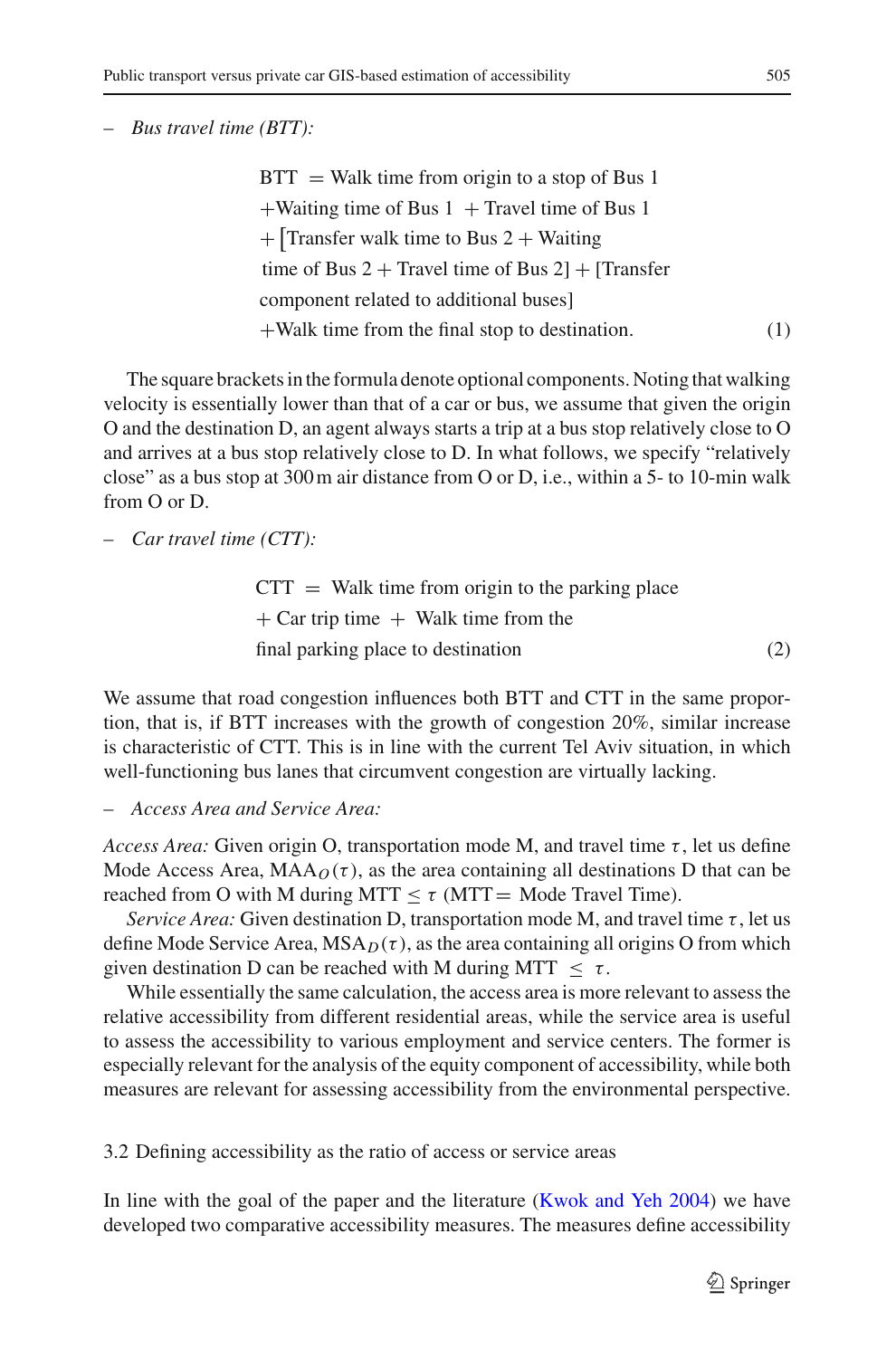# – *Bus travel time (BTT):*

| $BTT =$ Walk time from origin to a stop of Bus 1   |     |
|----------------------------------------------------|-----|
| $+$ Waiting time of Bus 1 $+$ Travel time of Bus 1 |     |
| $+$ Transfer walk time to Bus 2 + Waiting          |     |
| time of Bus 2 + Travel time of Bus 2 + [Transfer   |     |
| component related to additional buses]             |     |
| $+$ Walk time from the final stop to destination.  | (1) |
|                                                    |     |

The square brackets in the formula denote optional components. Noting that walking velocity is essentially lower than that of a car or bus, we assume that given the origin O and the destination D, an agent always starts a trip at a bus stop relatively close to O and arrives at a bus stop relatively close to D. In what follows, we specify "relatively close" as a bus stop at 300 m air distance from O or D, i.e., within a 5- to 10-min walk from O or D.

– *Car travel time (CTT):*

$$
CTT = Walk time from origin to the parking place + Car trip time + Walk time from the final parking place to destination
$$
 (2)

We assume that road congestion influences both BTT and CTT in the same proportion, that is, if BTT increases with the growth of congestion 20%, similar increase is characteristic of CTT. This is in line with the current Tel Aviv situation, in which well-functioning bus lanes that circumvent congestion are virtually lacking.

– *Access Area and Service Area:*

*Access Area:* Given origin O, transportation mode M, and travel time  $\tau$ , let us define Mode Access Area,  $MAA<sub>O</sub>(\tau)$ , as the area containing all destinations D that can be reached from O with M during MTT  $\lt \tau$  (MTT = Mode Travel Time).

*Service Area:* Given destination D, transportation mode M, and travel time  $\tau$ , let us define Mode Service Area,  $MSA_D(\tau)$ , as the area containing all origins O from which given destination D can be reached with M during MTT  $\leq \tau$ .

While essentially the same calculation, the access area is more relevant to assess the relative accessibility from different residential areas, while the service area is useful to assess the accessibility to various employment and service centers. The former is especially relevant for the analysis of the equity component of accessibility, while both measures are relevant for assessing accessibility from the environmental perspective.

3.2 Defining accessibility as the ratio of access or service areas

In line with the goal of the paper and the literature [\(Kwok and Yeh 2004](#page-16-4)) we have developed two comparative accessibility measures. The measures define accessibility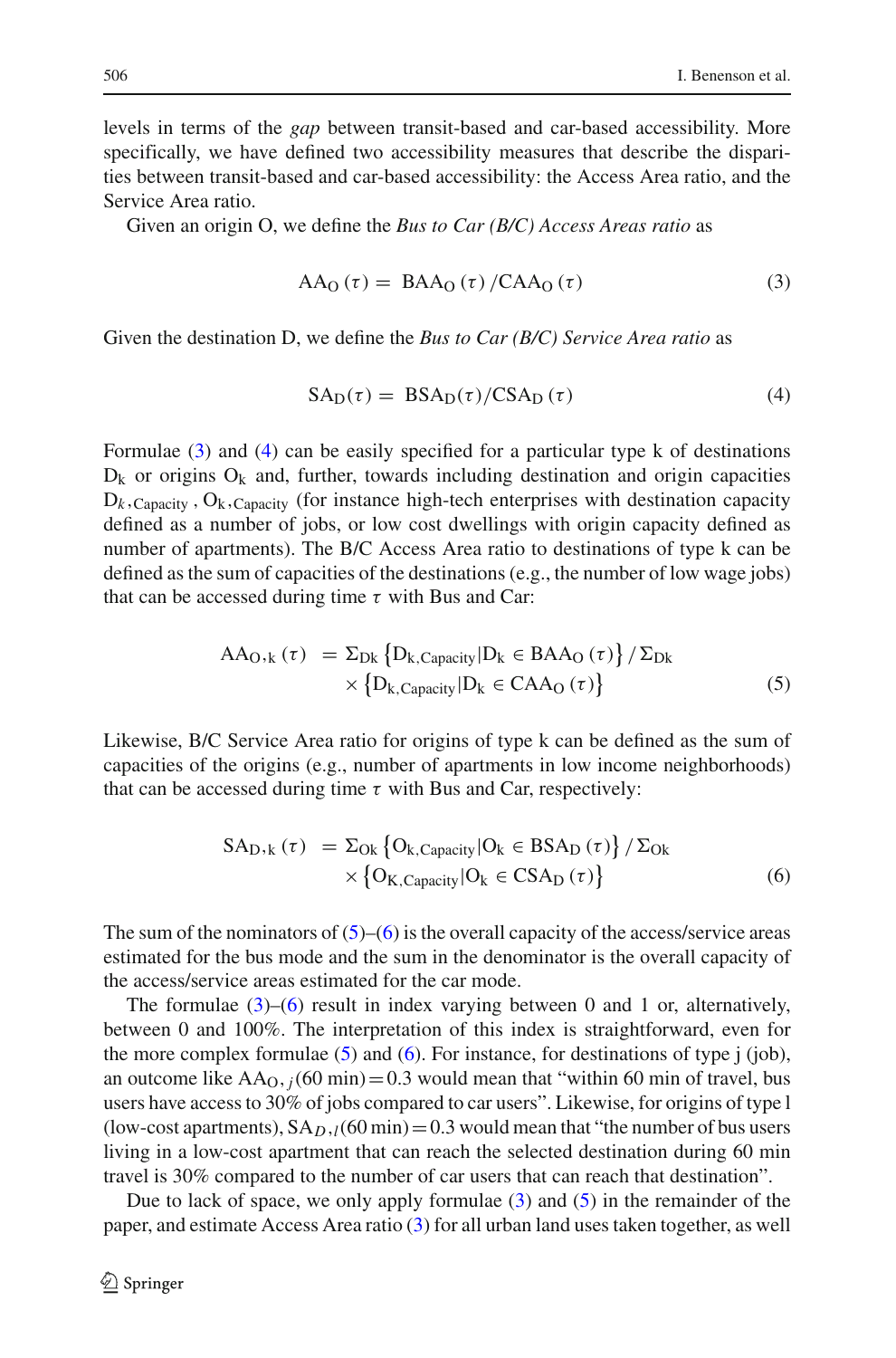levels in terms of the *gap* between transit-based and car-based accessibility. More specifically, we have defined two accessibility measures that describe the disparities between transit-based and car-based accessibility: the Access Area ratio, and the Service Area ratio.

<span id="page-7-0"></span>Given an origin O, we define the *Bus to Car (B/C) Access Areas ratio* as

$$
AA_{O}(\tau) = BAA_{O}(\tau) / CAA_{O}(\tau)
$$
\n(3)

<span id="page-7-1"></span>Given the destination D, we define the *Bus to Car (B/C) Service Area ratio* as

$$
SA_D(\tau) = BSA_D(\tau) / CSA_D(\tau)
$$
 (4)

Formulae [\(3\)](#page-7-0) and [\(4\)](#page-7-1) can be easily specified for a particular type k of destinations  $D_k$  or origins  $O_k$  and, further, towards including destination and origin capacities  $D_k$ , Capacity,  $O_k$ , Capacity (for instance high-tech enterprises with destination capacity defined as a number of jobs, or low cost dwellings with origin capacity defined as number of apartments). The B/C Access Area ratio to destinations of type k can be defined as the sum of capacities of the destinations (e.g., the number of low wage jobs) that can be accessed during time  $\tau$  with Bus and Car:

$$
AA_{O,k}(\tau) = \Sigma_{Dk} \{D_k, \text{Capacity} | D_k \in BAA_O(\tau)\} / \Sigma_{Dk}
$$
  
× 
$$
\{D_k, \text{Capacity} | D_k \in CAA_O(\tau)\}
$$
 (5)

<span id="page-7-2"></span>Likewise, B/C Service Area ratio for origins of type k can be defined as the sum of capacities of the origins (e.g., number of apartments in low income neighborhoods) that can be accessed during time  $\tau$  with Bus and Car, respectively:

$$
SA_{D,k}(\tau) = \sum_{Ok} \{O_{k,Capacity}|O_{k} \in BSA_{D}(\tau)\}/\sum_{Ok} \times \{O_{K,Capacity}|O_{k} \in CSA_{D}(\tau)\}
$$
\n
$$
(6)
$$

<span id="page-7-3"></span>The sum of the nominators of  $(5)$ – $(6)$  is the overall capacity of the access/service areas estimated for the bus mode and the sum in the denominator is the overall capacity of the access/service areas estimated for the car mode.

The formulae  $(3)$ – $(6)$  result in index varying between 0 and 1 or, alternatively, between 0 and 100%. The interpretation of this index is straightforward, even for the more complex formulae  $(5)$  and  $(6)$ . For instance, for destinations of type j (job), an outcome like  $AA<sub>O</sub>$ ,  $(60 \text{ min})=0.3$  would mean that "within 60 min of travel, bus users have access to 30% of jobs compared to car users". Likewise, for origins of type l (low-cost apartments),  $SA<sub>D</sub>$ ,  $(60 \text{ min}) = 0.3$  would mean that "the number of bus users" living in a low-cost apartment that can reach the selected destination during 60 min travel is 30% compared to the number of car users that can reach that destination".

Due to lack of space, we only apply formulae [\(3\)](#page-7-0) and [\(5\)](#page-7-2) in the remainder of the paper, and estimate Access Area ratio [\(3\)](#page-7-0) for all urban land uses taken together, as well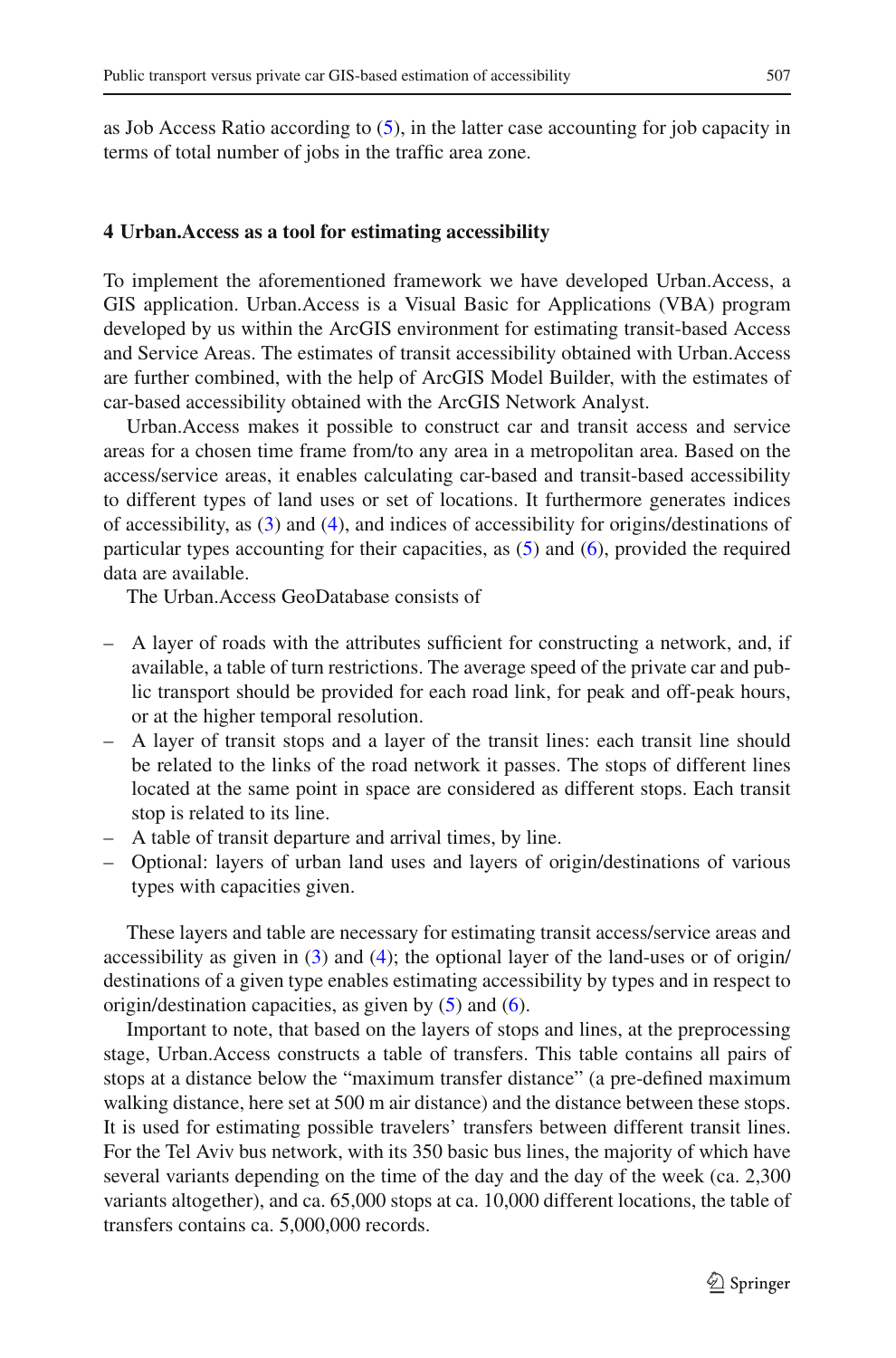as Job Access Ratio according to [\(5\)](#page-7-2), in the latter case accounting for job capacity in terms of total number of jobs in the traffic area zone.

# <span id="page-8-0"></span>**4 Urban.Access as a tool for estimating accessibility**

To implement the aforementioned framework we have developed Urban.Access, a GIS application. Urban.Access is a Visual Basic for Applications (VBA) program developed by us within the ArcGIS environment for estimating transit-based Access and Service Areas. The estimates of transit accessibility obtained with Urban.Access are further combined, with the help of ArcGIS Model Builder, with the estimates of car-based accessibility obtained with the ArcGIS Network Analyst.

Urban.Access makes it possible to construct car and transit access and service areas for a chosen time frame from/to any area in a metropolitan area. Based on the access/service areas, it enables calculating car-based and transit-based accessibility to different types of land uses or set of locations. It furthermore generates indices of accessibility, as [\(3\)](#page-7-0) and [\(4\)](#page-7-1), and indices of accessibility for origins/destinations of particular types accounting for their capacities, as [\(5\)](#page-7-2) and [\(6\)](#page-7-3), provided the required data are available.

The Urban.Access GeoDatabase consists of

- A layer of roads with the attributes sufficient for constructing a network, and, if available, a table of turn restrictions. The average speed of the private car and public transport should be provided for each road link, for peak and off-peak hours, or at the higher temporal resolution.
- A layer of transit stops and a layer of the transit lines: each transit line should be related to the links of the road network it passes. The stops of different lines located at the same point in space are considered as different stops. Each transit stop is related to its line.
- A table of transit departure and arrival times, by line.
- Optional: layers of urban land uses and layers of origin/destinations of various types with capacities given.

These layers and table are necessary for estimating transit access/service areas and accessibility as given in [\(3\)](#page-7-0) and [\(4\)](#page-7-1); the optional layer of the land-uses or of origin/ destinations of a given type enables estimating accessibility by types and in respect to origin/destination capacities, as given by  $(5)$  and  $(6)$ .

Important to note, that based on the layers of stops and lines, at the preprocessing stage, Urban.Access constructs a table of transfers. This table contains all pairs of stops at a distance below the "maximum transfer distance" (a pre-defined maximum walking distance, here set at 500 m air distance) and the distance between these stops. It is used for estimating possible travelers' transfers between different transit lines. For the Tel Aviv bus network, with its 350 basic bus lines, the majority of which have several variants depending on the time of the day and the day of the week (ca. 2,300 variants altogether), and ca. 65,000 stops at ca. 10,000 different locations, the table of transfers contains ca. 5,000,000 records.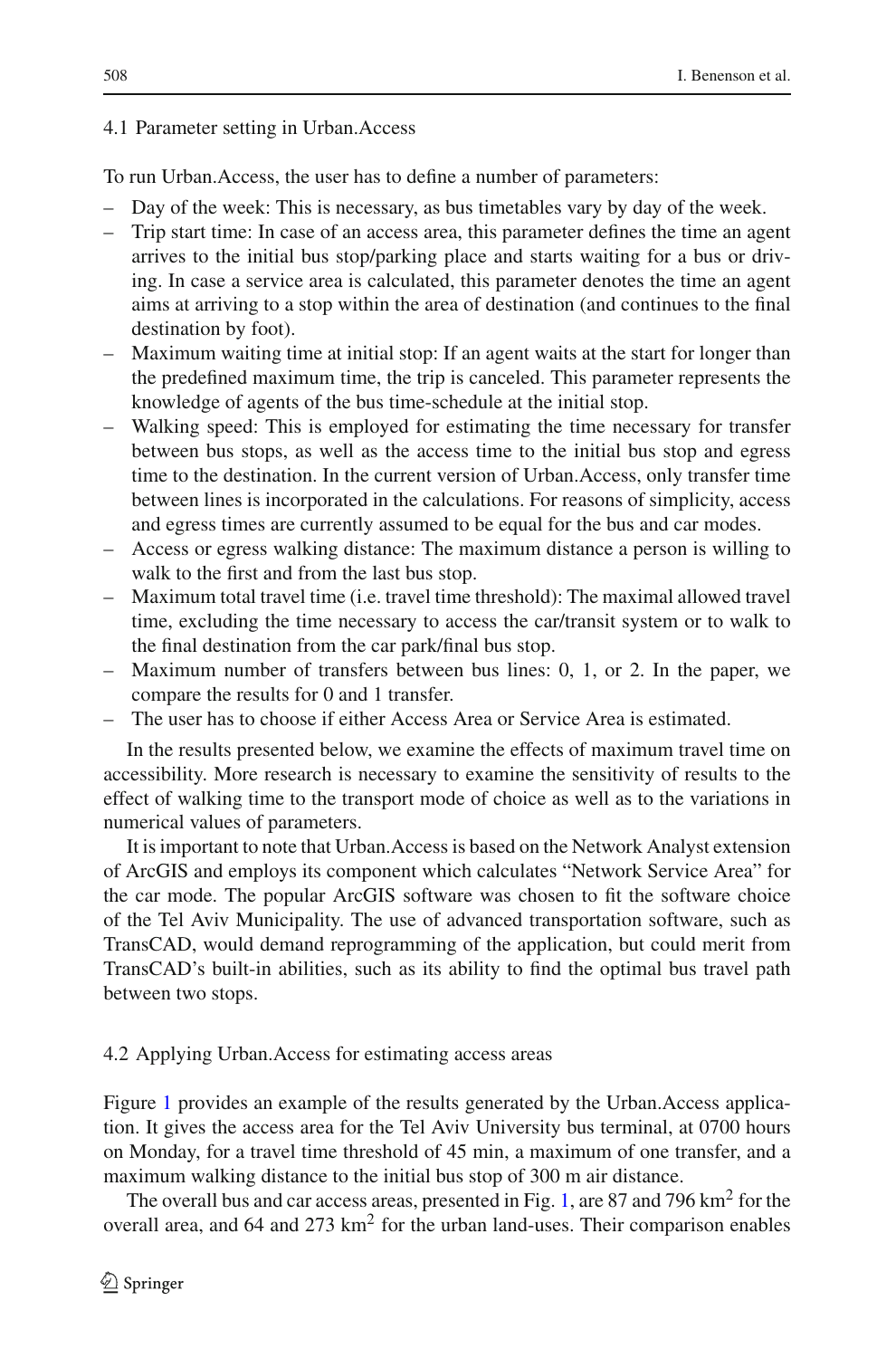# 4.1 Parameter setting in Urban.Access

To run Urban.Access, the user has to define a number of parameters:

- Day of the week: This is necessary, as bus timetables vary by day of the week.
- Trip start time: In case of an access area, this parameter defines the time an agent arrives to the initial bus stop/parking place and starts waiting for a bus or driving. In case a service area is calculated, this parameter denotes the time an agent aims at arriving to a stop within the area of destination (and continues to the final destination by foot).
- Maximum waiting time at initial stop: If an agent waits at the start for longer than the predefined maximum time, the trip is canceled. This parameter represents the knowledge of agents of the bus time-schedule at the initial stop.
- Walking speed: This is employed for estimating the time necessary for transfer between bus stops, as well as the access time to the initial bus stop and egress time to the destination. In the current version of Urban.Access, only transfer time between lines is incorporated in the calculations. For reasons of simplicity, access and egress times are currently assumed to be equal for the bus and car modes.
- Access or egress walking distance: The maximum distance a person is willing to walk to the first and from the last bus stop.
- Maximum total travel time (i.e. travel time threshold): The maximal allowed travel time, excluding the time necessary to access the car/transit system or to walk to the final destination from the car park/final bus stop.
- Maximum number of transfers between bus lines: 0, 1, or 2. In the paper, we compare the results for 0 and 1 transfer.
- The user has to choose if either Access Area or Service Area is estimated.

In the results presented below, we examine the effects of maximum travel time on accessibility. More research is necessary to examine the sensitivity of results to the effect of walking time to the transport mode of choice as well as to the variations in numerical values of parameters.

It is important to note that Urban.Access is based on the Network Analyst extension of ArcGIS and employs its component which calculates "Network Service Area" for the car mode. The popular ArcGIS software was chosen to fit the software choice of the Tel Aviv Municipality. The use of advanced transportation software, such as TransCAD, would demand reprogramming of the application, but could merit from TransCAD's built-in abilities, such as its ability to find the optimal bus travel path between two stops.

#### 4.2 Applying Urban.Access for estimating access areas

Figure [1](#page-10-1) provides an example of the results generated by the Urban.Access application. It gives the access area for the Tel Aviv University bus terminal, at 0700 hours on Monday, for a travel time threshold of 45 min, a maximum of one transfer, and a maximum walking distance to the initial bus stop of 300 m air distance.

The overall bus and car access areas, presented in Fig. [1,](#page-10-1) are 87 and 796 km<sup>2</sup> for the overall area, and  $64$  and  $273 \text{ km}^2$  for the urban land-uses. Their comparison enables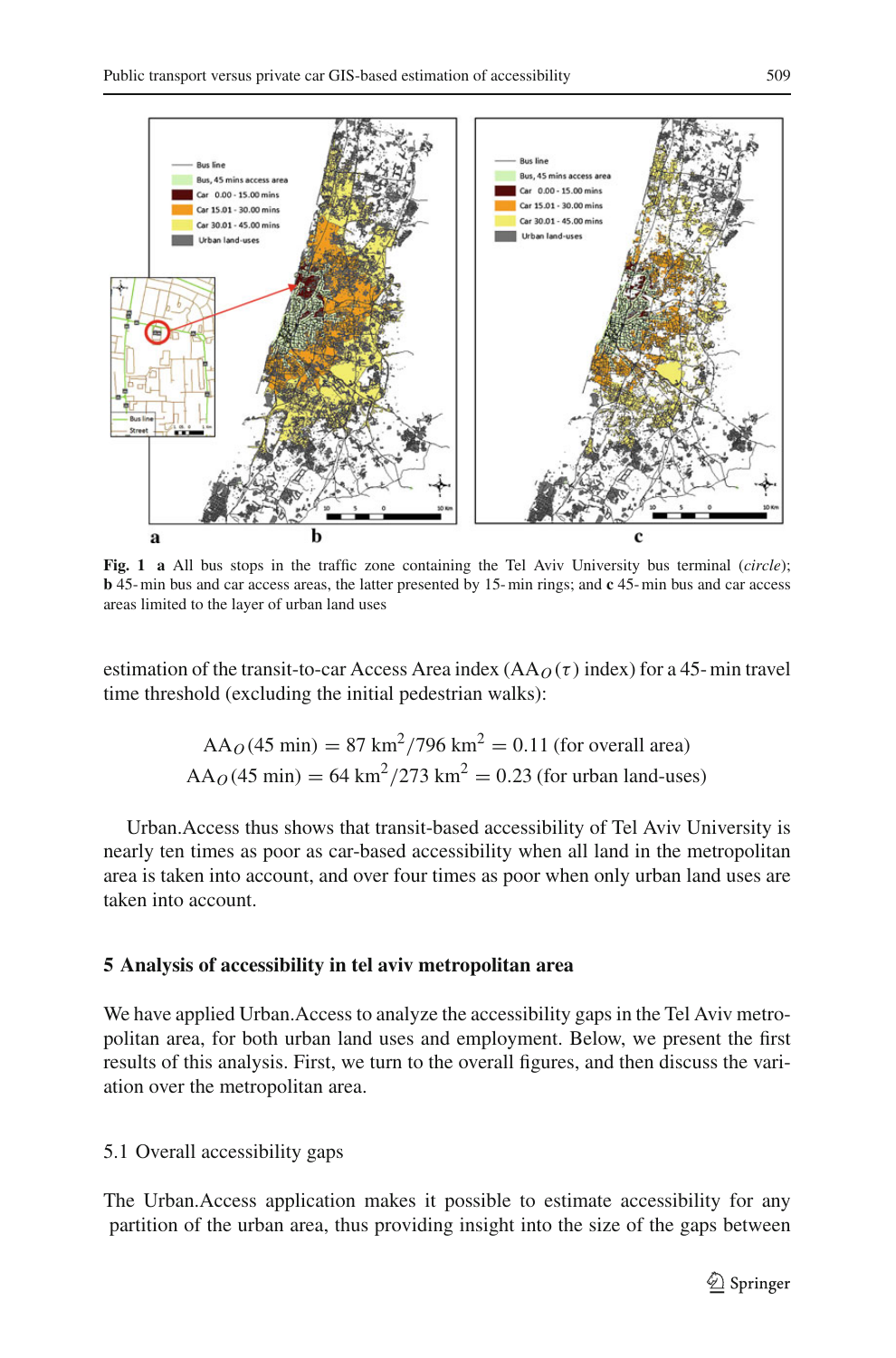

<span id="page-10-1"></span>**Fig. 1 a** All bus stops in the traffic zone containing the Tel Aviv University bus terminal (*circle*); **b** 45- min bus and car access areas, the latter presented by 15- min rings; and **c** 45- min bus and car access areas limited to the layer of urban land uses

estimation of the transit-to-car Access Area index  $(AA_{\theta}(\tau))$  index) for a 45- min travel time threshold (excluding the initial pedestrian walks):

$$
AA_O(45 \text{ min}) = 87 \text{ km}^2 / 796 \text{ km}^2 = 0.11 \text{ (for overall area)}
$$
  

$$
AA_O(45 \text{ min}) = 64 \text{ km}^2 / 273 \text{ km}^2 = 0.23 \text{ (for urban land-uses)}
$$

Urban.Access thus shows that transit-based accessibility of Tel Aviv University is nearly ten times as poor as car-based accessibility when all land in the metropolitan area is taken into account, and over four times as poor when only urban land uses are taken into account.

# <span id="page-10-0"></span>**5 Analysis of accessibility in tel aviv metropolitan area**

We have applied Urban.Access to analyze the accessibility gaps in the Tel Aviv metropolitan area, for both urban land uses and employment. Below, we present the first results of this analysis. First, we turn to the overall figures, and then discuss the variation over the metropolitan area.

# 5.1 Overall accessibility gaps

The Urban.Access application makes it possible to estimate accessibility for any partition of the urban area, thus providing insight into the size of the gaps between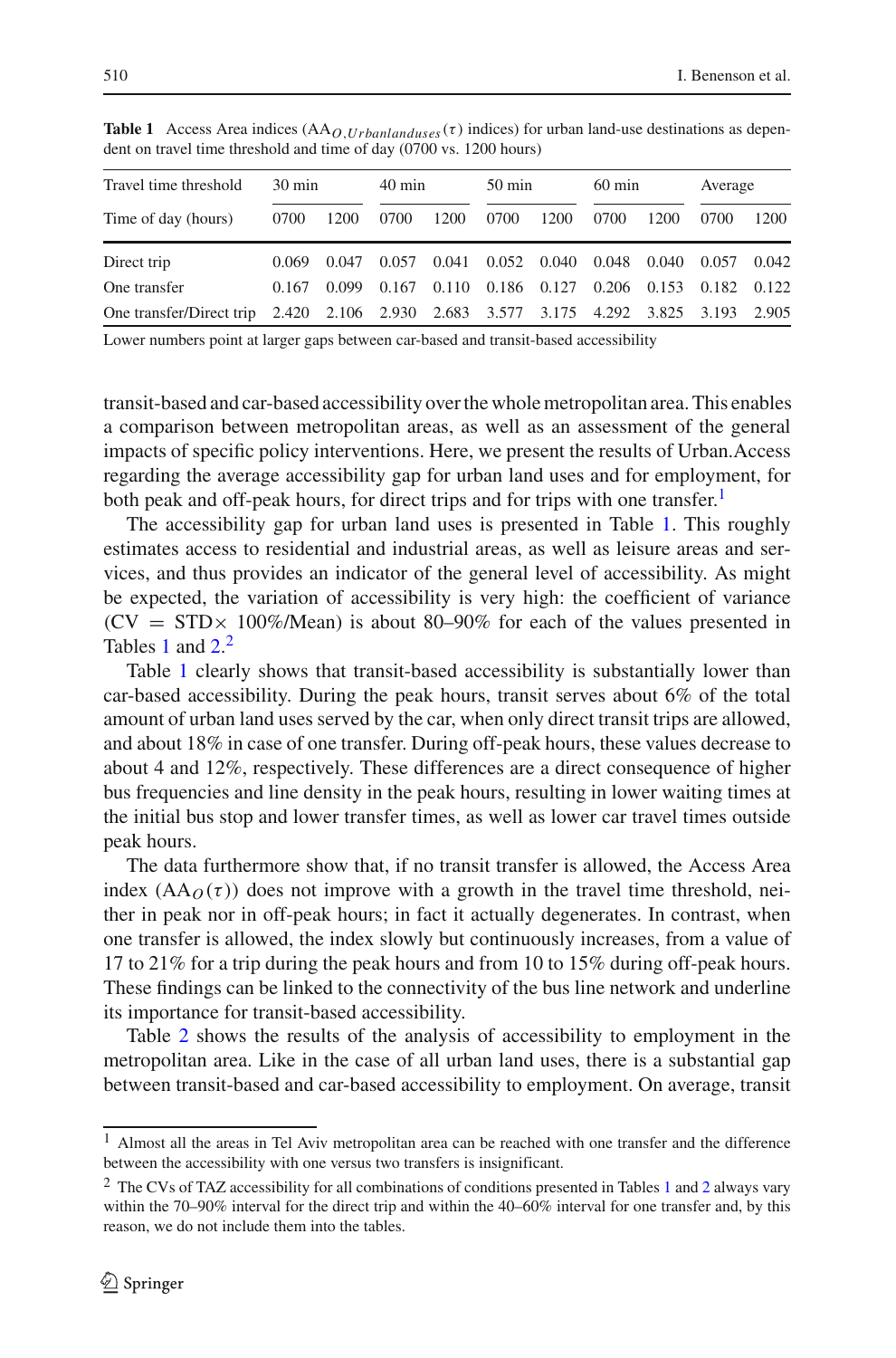| Travel time threshold                                                                | $30 \text{ min}$ |       | $40 \text{ min}$                                      |      | $50 \text{ min}$ |                                                 | $60 \text{ min}$ |      | Average |      |
|--------------------------------------------------------------------------------------|------------------|-------|-------------------------------------------------------|------|------------------|-------------------------------------------------|------------------|------|---------|------|
| Time of day (hours)                                                                  | 0700             | 1200  | 0700                                                  | 1200 | 0700             | 1200                                            | 0700             | 1200 | 0700    | 1200 |
| Direct trip                                                                          | 0.069            | 0.047 |                                                       |      |                  | 0.057 0.041 0.052 0.040 0.048 0.040 0.057 0.042 |                  |      |         |      |
| One transfer                                                                         | 0.167            |       | 0.099 0.167 0.110 0.186 0.127 0.206 0.153 0.182 0.122 |      |                  |                                                 |                  |      |         |      |
| One transfer/Direct trip 2.420 2.106 2.930 2.683 3.577 3.175 4.292 3.825 3.193 2.905 |                  |       |                                                       |      |                  |                                                 |                  |      |         |      |

<span id="page-11-1"></span>**Table 1** Access Area indices  $(AA_O, Ur band and use (t)$  indices) for urban land-use destinations as dependent on travel time threshold and time of day (0700 vs. 1200 hours)

Lower numbers point at larger gaps between car-based and transit-based accessibility

transit-based and car-based accessibility over the whole metropolitan area. This enables a comparison between metropolitan areas, as well as an assessment of the general impacts of specific policy interventions. Here, we present the results of Urban.Access regarding the average accessibility gap for urban land uses and for employment, for both peak and off-peak hours, for direct trips and for trips with one transfer.<sup>1</sup>

The accessibility gap for urban land uses is presented in Table [1.](#page-11-1) This roughly estimates access to residential and industrial areas, as well as leisure areas and services, and thus provides an indicator of the general level of accessibility. As might be expected, the variation of accessibility is very high: the coefficient of variance  $(CV = STD \times 100\%$ /Mean) is about 80–90% for each of the values presented in Tables [1](#page-11-1) and  $2<sup>2</sup>$  $2<sup>2</sup>$ 

Table [1](#page-11-1) clearly shows that transit-based accessibility is substantially lower than car-based accessibility. During the peak hours, transit serves about 6% of the total amount of urban land uses served by the car, when only direct transit trips are allowed, and about 18% in case of one transfer. During off-peak hours, these values decrease to about 4 and 12%, respectively. These differences are a direct consequence of higher bus frequencies and line density in the peak hours, resulting in lower waiting times at the initial bus stop and lower transfer times, as well as lower car travel times outside peak hours.

The data furthermore show that, if no transit transfer is allowed, the Access Area index  $(AA_{\Omega}(\tau))$  does not improve with a growth in the travel time threshold, neither in peak nor in off-peak hours; in fact it actually degenerates. In contrast, when one transfer is allowed, the index slowly but continuously increases, from a value of 17 to 21% for a trip during the peak hours and from 10 to 15% during off-peak hours. These findings can be linked to the connectivity of the bus line network and underline its importance for transit-based accessibility.

Table [2](#page-12-0) shows the results of the analysis of accessibility to employment in the metropolitan area. Like in the case of all urban land uses, there is a substantial gap between transit-based and car-based accessibility to employment. On average, transit

<span id="page-11-0"></span><sup>&</sup>lt;sup>1</sup> Almost all the areas in Tel Aviv metropolitan area can be reached with one transfer and the difference between the accessibility with one versus two transfers is insignificant.

<span id="page-11-2"></span><sup>&</sup>lt;sup>2</sup> The CVs of TAZ accessibility for all combinations of conditions presented in Tables [1](#page-11-1) and [2](#page-12-0) always vary within the 70–90% interval for the direct trip and within the 40–60% interval for one transfer and, by this reason, we do not include them into the tables.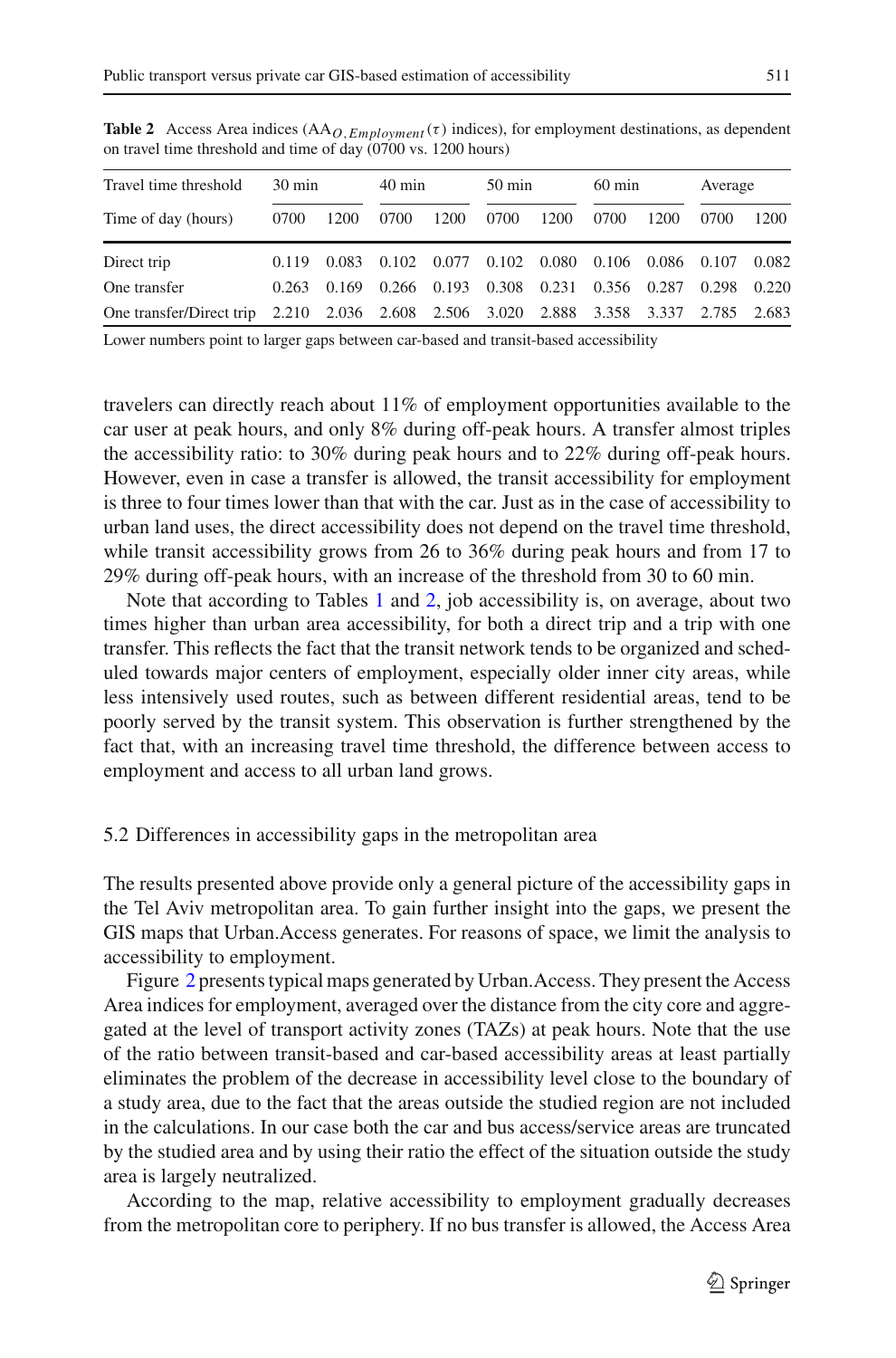| Travel time threshold                                                                | $30 \text{ min}$ |                                                 | $40 \text{ min}$ |      | $50 \text{ min}$ |        | $60 \text{ min}$ |                                                       | Average |       |
|--------------------------------------------------------------------------------------|------------------|-------------------------------------------------|------------------|------|------------------|--------|------------------|-------------------------------------------------------|---------|-------|
| Time of day (hours)                                                                  | 0700             | 1200                                            | 0700             | 1200 | 0700             | - 1200 | 0700             | 1200                                                  | 0700    | 1200  |
| Direct trip                                                                          |                  |                                                 |                  |      |                  |        |                  | 0.119 0.083 0.102 0.077 0.102 0.080 0.106 0.086 0.107 |         | 0.082 |
| One transfer                                                                         |                  | 0.263 0.169 0.266 0.193 0.308 0.231 0.356 0.287 |                  |      |                  |        |                  |                                                       | 0.298   | 0.220 |
| One transfer/Direct trip 2.210 2.036 2.608 2.506 3.020 2.888 3.358 3.337 2.785 2.683 |                  |                                                 |                  |      |                  |        |                  |                                                       |         |       |

<span id="page-12-0"></span>**Table 2** Access Area indices  $(AA_O, Emplovment(\tau))$  indices), for employment destinations, as dependent on travel time threshold and time of day (0700 vs. 1200 hours)

Lower numbers point to larger gaps between car-based and transit-based accessibility

travelers can directly reach about 11% of employment opportunities available to the car user at peak hours, and only 8% during off-peak hours. A transfer almost triples the accessibility ratio: to 30% during peak hours and to 22% during off-peak hours. However, even in case a transfer is allowed, the transit accessibility for employment is three to four times lower than that with the car. Just as in the case of accessibility to urban land uses, the direct accessibility does not depend on the travel time threshold, while transit accessibility grows from 26 to 36% during peak hours and from 17 to 29% during off-peak hours, with an increase of the threshold from 30 to 60 min.

Note that according to Tables [1](#page-11-1) and [2,](#page-12-0) job accessibility is, on average, about two times higher than urban area accessibility, for both a direct trip and a trip with one transfer. This reflects the fact that the transit network tends to be organized and scheduled towards major centers of employment, especially older inner city areas, while less intensively used routes, such as between different residential areas, tend to be poorly served by the transit system. This observation is further strengthened by the fact that, with an increasing travel time threshold, the difference between access to employment and access to all urban land grows.

## 5.2 Differences in accessibility gaps in the metropolitan area

The results presented above provide only a general picture of the accessibility gaps in the Tel Aviv metropolitan area. To gain further insight into the gaps, we present the GIS maps that Urban.Access generates. For reasons of space, we limit the analysis to accessibility to employment.

Figure [2](#page-13-0) presents typical maps generated by Urban.Access. They present the Access Area indices for employment, averaged over the distance from the city core and aggregated at the level of transport activity zones (TAZs) at peak hours. Note that the use of the ratio between transit-based and car-based accessibility areas at least partially eliminates the problem of the decrease in accessibility level close to the boundary of a study area, due to the fact that the areas outside the studied region are not included in the calculations. In our case both the car and bus access/service areas are truncated by the studied area and by using their ratio the effect of the situation outside the study area is largely neutralized.

According to the map, relative accessibility to employment gradually decreases from the metropolitan core to periphery. If no bus transfer is allowed, the Access Area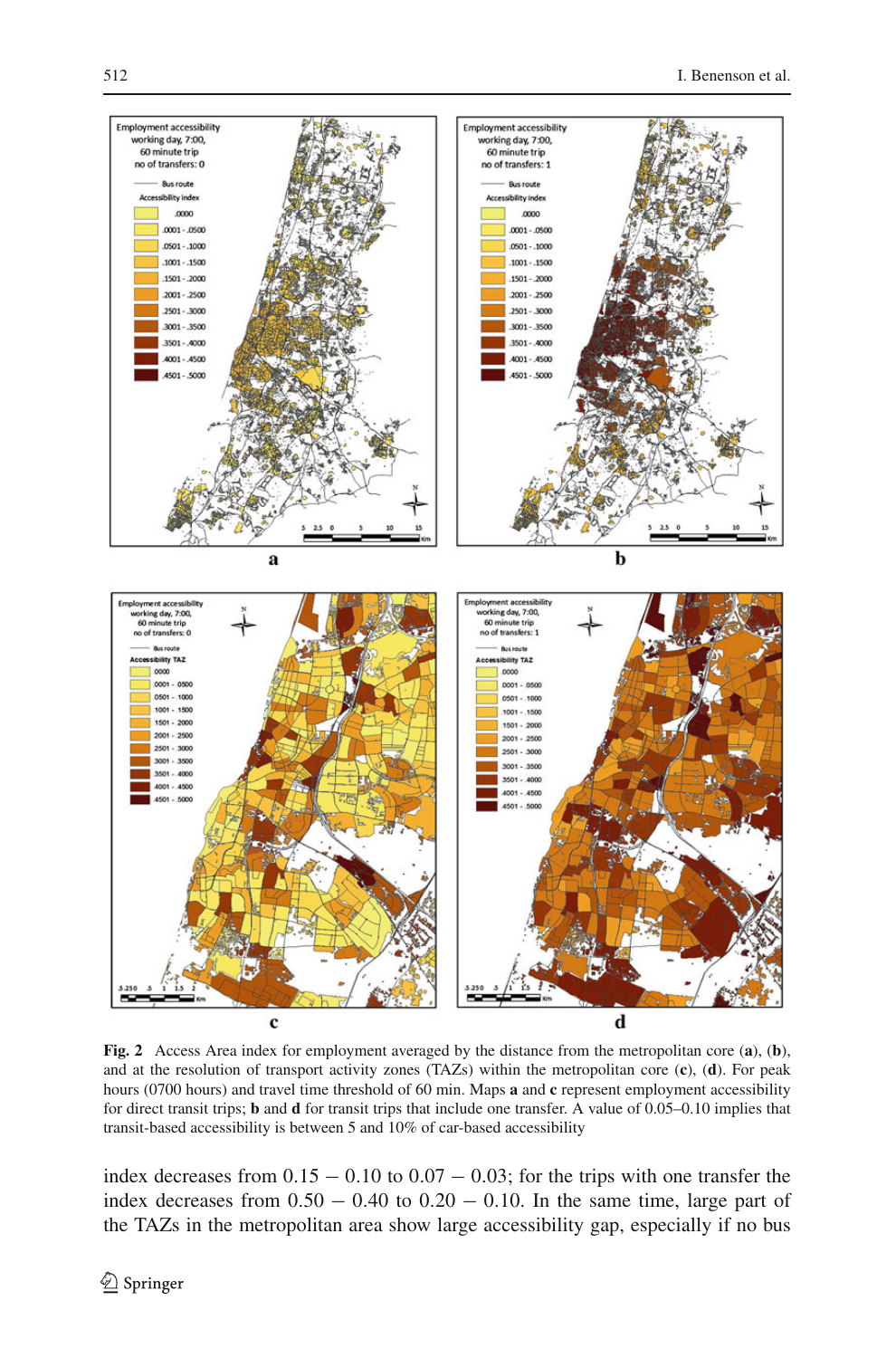

<span id="page-13-0"></span>**Fig. 2** Access Area index for employment averaged by the distance from the metropolitan core (**a**), (**b**), and at the resolution of transport activity zones (TAZs) within the metropolitan core (**c**), (**d**). For peak hours (0700 hours) and travel time threshold of 60 min. Maps **a** and **c** represent employment accessibility for direct transit trips; **b** and **d** for transit trips that include one transfer. A value of 0.05–0.10 implies that transit-based accessibility is between 5 and 10% of car-based accessibility

index decreases from  $0.15 - 0.10$  to  $0.07 - 0.03$ ; for the trips with one transfer the index decreases from  $0.50 - 0.40$  to  $0.20 - 0.10$ . In the same time, large part of the TAZs in the metropolitan area show large accessibility gap, especially if no bus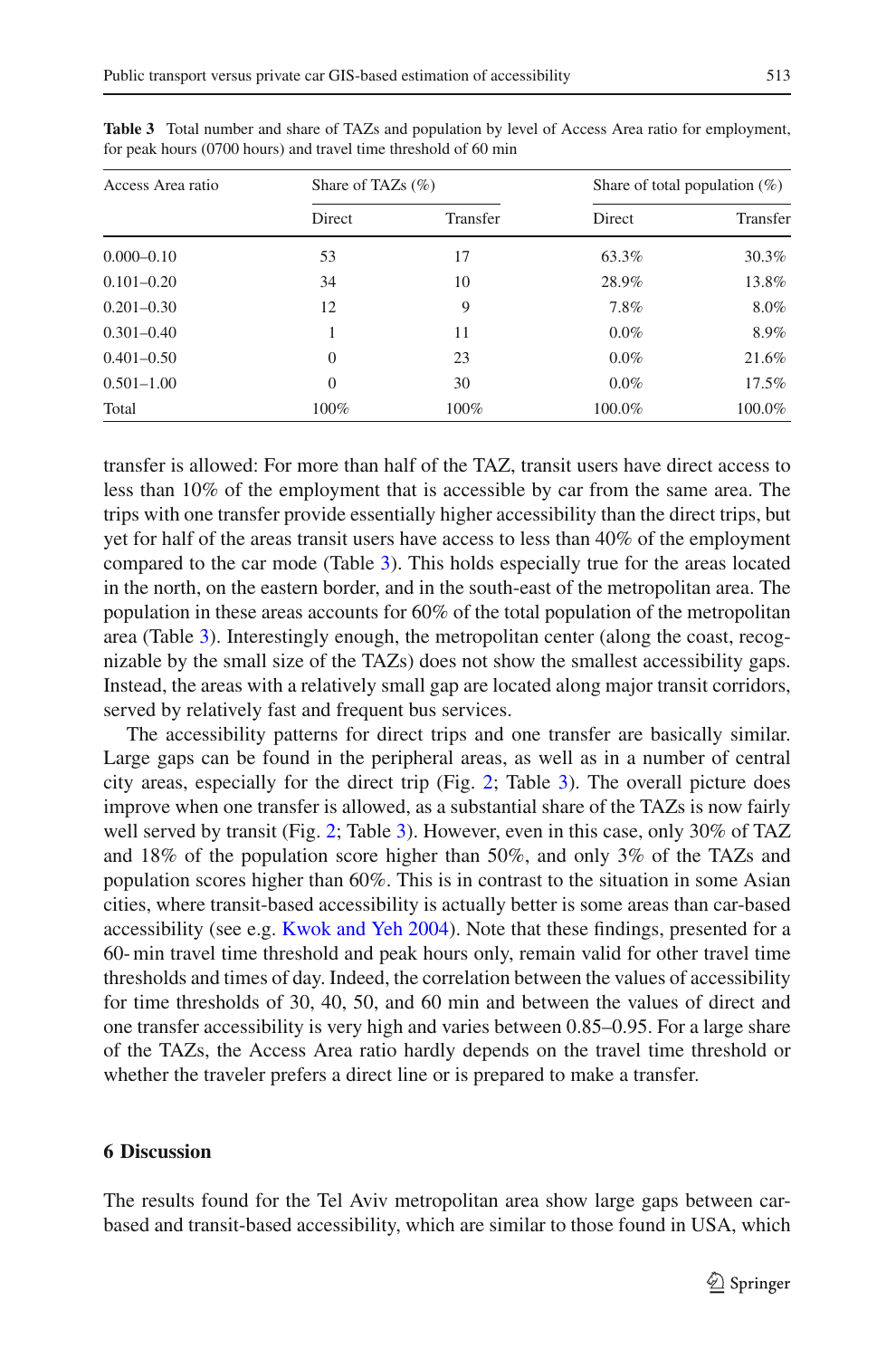| Access Area ratio | Share of TAZs $(\%)$ |          | Share of total population $(\%)$ |          |  |
|-------------------|----------------------|----------|----------------------------------|----------|--|
|                   | Direct               | Transfer | Direct                           | Transfer |  |
| $0.000 - 0.10$    | 53                   | 17       | 63.3%                            | 30.3%    |  |
| $0.101 - 0.20$    | 34                   | 10       | 28.9%                            | 13.8%    |  |
| $0.201 - 0.30$    | 12                   | 9        | 7.8%                             | 8.0%     |  |
| $0.301 - 0.40$    |                      | 11       | $0.0\%$                          | 8.9%     |  |
| $0.401 - 0.50$    | $\theta$             | 23       | $0.0\%$                          | 21.6%    |  |
| $0.501 - 1.00$    | $\Omega$             | 30       | $0.0\%$                          | 17.5%    |  |
| Total             | 100%                 | $100\%$  | 100.0%                           | 100.0%   |  |

<span id="page-14-1"></span>**Table 3** Total number and share of TAZs and population by level of Access Area ratio for employment, for peak hours (0700 hours) and travel time threshold of 60 min

transfer is allowed: For more than half of the TAZ, transit users have direct access to less than 10% of the employment that is accessible by car from the same area. The trips with one transfer provide essentially higher accessibility than the direct trips, but yet for half of the areas transit users have access to less than 40% of the employment compared to the car mode (Table [3\)](#page-14-1). This holds especially true for the areas located in the north, on the eastern border, and in the south-east of the metropolitan area. The population in these areas accounts for 60% of the total population of the metropolitan area (Table [3\)](#page-14-1). Interestingly enough, the metropolitan center (along the coast, recognizable by the small size of the TAZs) does not show the smallest accessibility gaps. Instead, the areas with a relatively small gap are located along major transit corridors, served by relatively fast and frequent bus services.

The accessibility patterns for direct trips and one transfer are basically similar. Large gaps can be found in the peripheral areas, as well as in a number of central city areas, especially for the direct trip (Fig. [2;](#page-13-0) Table [3\)](#page-14-1). The overall picture does improve when one transfer is allowed, as a substantial share of the TAZs is now fairly well served by transit (Fig. [2;](#page-13-0) Table [3\)](#page-14-1). However, even in this case, only 30% of TAZ and 18% of the population score higher than 50%, and only 3% of the TAZs and population scores higher than 60%. This is in contrast to the situation in some Asian cities, where transit-based accessibility is actually better is some areas than car-based accessibility (see e.g. [Kwok and Yeh 2004](#page-16-4)). Note that these findings, presented for a 60- min travel time threshold and peak hours only, remain valid for other travel time thresholds and times of day. Indeed, the correlation between the values of accessibility for time thresholds of 30, 40, 50, and 60 min and between the values of direct and one transfer accessibility is very high and varies between 0.85–0.95. For a large share of the TAZs, the Access Area ratio hardly depends on the travel time threshold or whether the traveler prefers a direct line or is prepared to make a transfer.

# <span id="page-14-0"></span>**6 Discussion**

The results found for the Tel Aviv metropolitan area show large gaps between carbased and transit-based accessibility, which are similar to those found in USA, which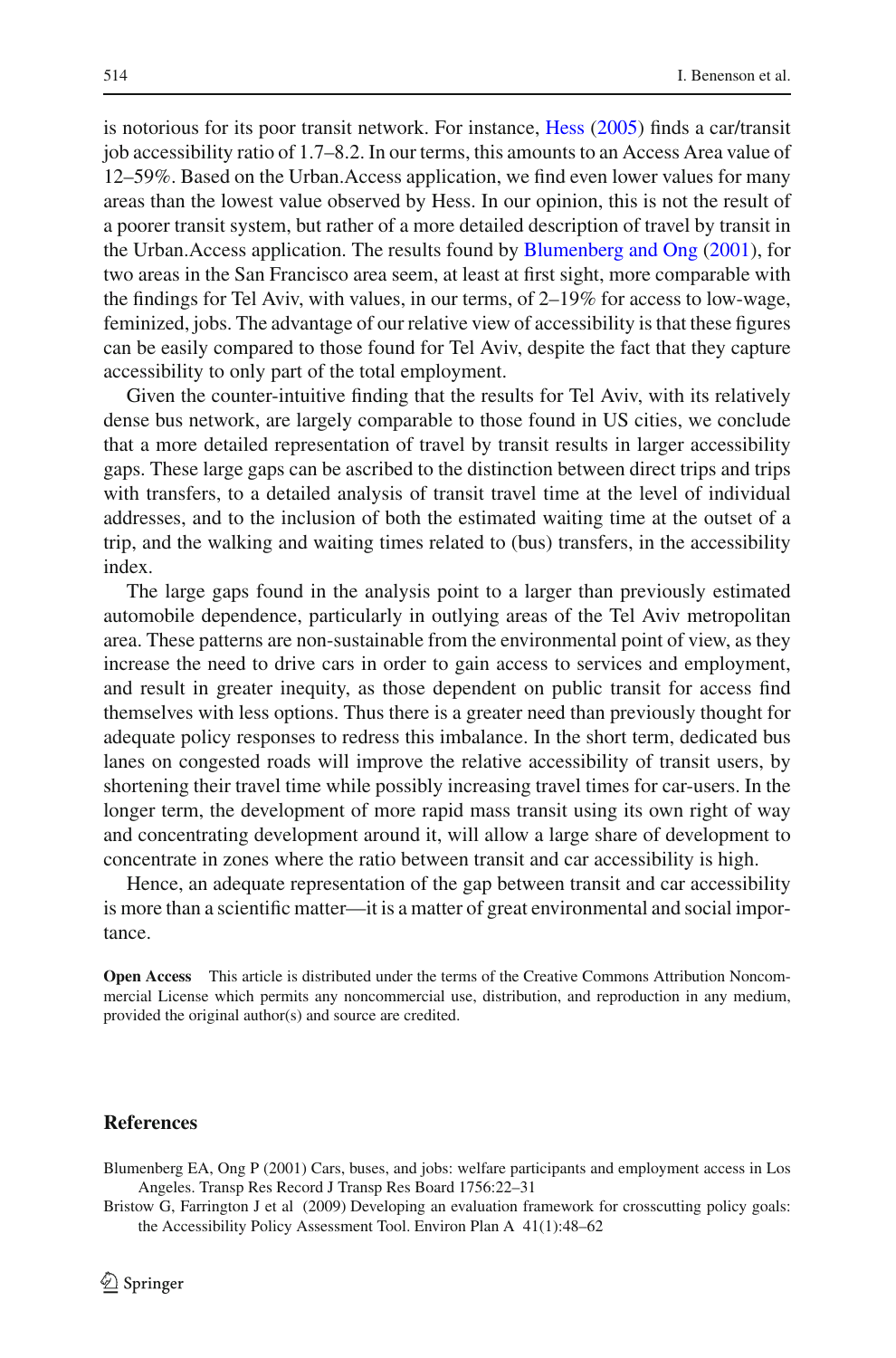is notorious for its poor transit network. For instance, [Hess](#page-16-7) [\(2005\)](#page-16-7) finds a car/transit job accessibility ratio of 1.7–8.2. In our terms, this amounts to an Access Area value of 12–59%. Based on the Urban.Access application, we find even lower values for many areas than the lowest value observed by Hess. In our opinion, this is not the result of a poorer transit system, but rather of a more detailed description of travel by transit in the Urban.Access application. The results found by [Blumenberg and Ong](#page-15-1) [\(2001](#page-15-1)), for two areas in the San Francisco area seem, at least at first sight, more comparable with the findings for Tel Aviv, with values, in our terms, of 2–19% for access to low-wage, feminized, jobs. The advantage of our relative view of accessibility is that these figures can be easily compared to those found for Tel Aviv, despite the fact that they capture accessibility to only part of the total employment.

Given the counter-intuitive finding that the results for Tel Aviv, with its relatively dense bus network, are largely comparable to those found in US cities, we conclude that a more detailed representation of travel by transit results in larger accessibility gaps. These large gaps can be ascribed to the distinction between direct trips and trips with transfers, to a detailed analysis of transit travel time at the level of individual addresses, and to the inclusion of both the estimated waiting time at the outset of a trip, and the walking and waiting times related to (bus) transfers, in the accessibility index.

The large gaps found in the analysis point to a larger than previously estimated automobile dependence, particularly in outlying areas of the Tel Aviv metropolitan area. These patterns are non-sustainable from the environmental point of view, as they increase the need to drive cars in order to gain access to services and employment, and result in greater inequity, as those dependent on public transit for access find themselves with less options. Thus there is a greater need than previously thought for adequate policy responses to redress this imbalance. In the short term, dedicated bus lanes on congested roads will improve the relative accessibility of transit users, by shortening their travel time while possibly increasing travel times for car-users. In the longer term, the development of more rapid mass transit using its own right of way and concentrating development around it, will allow a large share of development to concentrate in zones where the ratio between transit and car accessibility is high.

Hence, an adequate representation of the gap between transit and car accessibility is more than a scientific matter—it is a matter of great environmental and social importance.

**Open Access** This article is distributed under the terms of the Creative Commons Attribution Noncommercial License which permits any noncommercial use, distribution, and reproduction in any medium, provided the original author(s) and source are credited.

## **References**

<span id="page-15-1"></span>Blumenberg EA, Ong P (2001) Cars, buses, and jobs: welfare participants and employment access in Los Angeles. Transp Res Record J Transp Res Board 1756:22–31

<span id="page-15-0"></span>Bristow G, Farrington J et al (2009) Developing an evaluation framework for crosscutting policy goals: the Accessibility Policy Assessment Tool. Environ Plan A 41(1):48–62